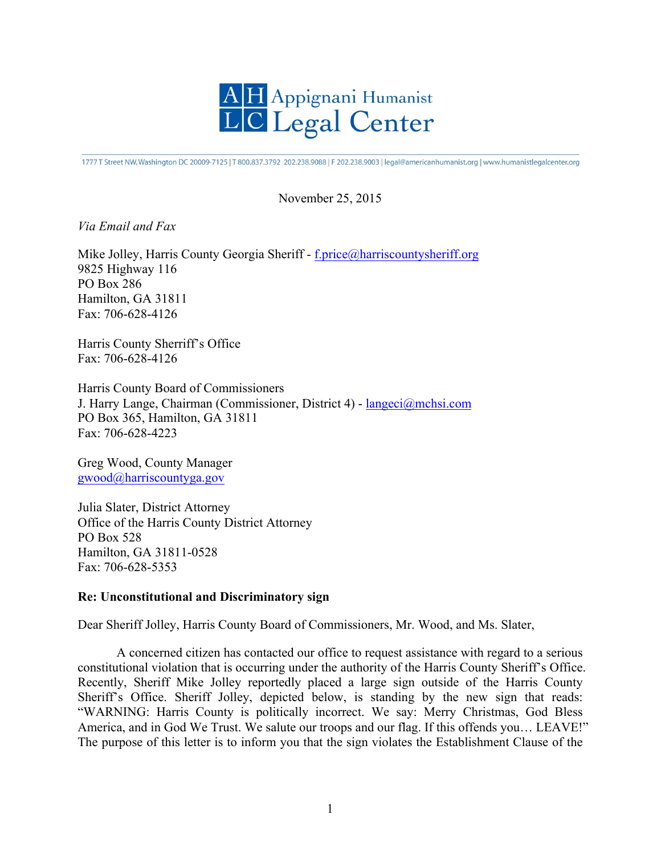

1777 T Street NW, Washington DC 20009-7125 | T 800.837.3792 202.238.9088 | F 202.238.9003 | legal@americanhumanist.org | www.humanistlegalcenter.org

## November 25, 2015

## *Via Email and Fax*

Mike Jolley, Harris County Georgia Sheriff - f.price@harriscountysheriff.org 9825 Highway 116 PO Box 286 Hamilton, GA 31811 Fax: 706-628-4126

Harris County Sherriff's Office Fax: 706-628-4126

Harris County Board of Commissioners J. Harry Lange, Chairman (Commissioner, District 4) - langeci@mchsi.com PO Box 365, Hamilton, GA 31811 Fax: 706-628-4223

Greg Wood, County Manager gwood@harriscountyga.gov

Julia Slater, District Attorney Office of the Harris County District Attorney PO Box 528 Hamilton, GA 31811-0528 Fax: 706-628-5353

## **Re: Unconstitutional and Discriminatory sign**

Dear Sheriff Jolley, Harris County Board of Commissioners, Mr. Wood, and Ms. Slater,

A concerned citizen has contacted our office to request assistance with regard to a serious constitutional violation that is occurring under the authority of the Harris County Sheriff's Office. Recently, Sheriff Mike Jolley reportedly placed a large sign outside of the Harris County Sheriff's Office. Sheriff Jolley, depicted below, is standing by the new sign that reads: "WARNING: Harris County is politically incorrect. We say: Merry Christmas, God Bless America, and in God We Trust. We salute our troops and our flag. If this offends you… LEAVE!" The purpose of this letter is to inform you that the sign violates the Establishment Clause of the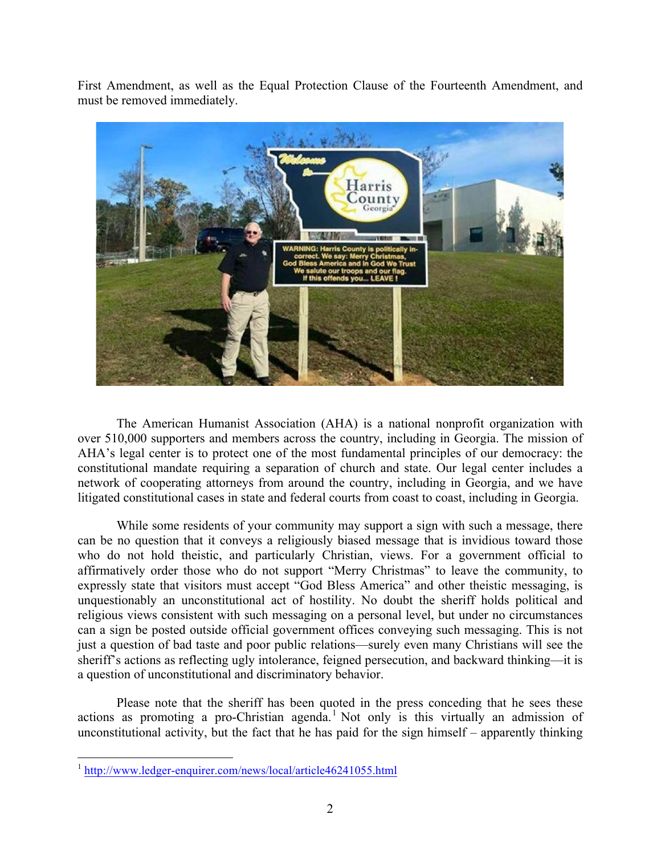First Amendment, as well as the Equal Protection Clause of the Fourteenth Amendment, and must be removed immediately.



The American Humanist Association (AHA) is a national nonprofit organization with over 510,000 supporters and members across the country, including in Georgia. The mission of AHA's legal center is to protect one of the most fundamental principles of our democracy: the constitutional mandate requiring a separation of church and state. Our legal center includes a network of cooperating attorneys from around the country, including in Georgia, and we have litigated constitutional cases in state and federal courts from coast to coast, including in Georgia.

While some residents of your community may support a sign with such a message, there can be no question that it conveys a religiously biased message that is invidious toward those who do not hold theistic, and particularly Christian, views. For a government official to affirmatively order those who do not support "Merry Christmas" to leave the community, to expressly state that visitors must accept "God Bless America" and other theistic messaging, is unquestionably an unconstitutional act of hostility. No doubt the sheriff holds political and religious views consistent with such messaging on a personal level, but under no circumstances can a sign be posted outside official government offices conveying such messaging. This is not just a question of bad taste and poor public relations—surely even many Christians will see the sheriff's actions as reflecting ugly intolerance, feigned persecution, and backward thinking—it is a question of unconstitutional and discriminatory behavior.

Please note that the sheriff has been quoted in the press conceding that he sees these actions as promoting a pro-Christian agenda.<sup>1</sup> Not only is this virtually an admission of unconstitutional activity, but the fact that he has paid for the sign himself – apparently thinking

 <sup>1</sup> http://www.ledger-enquirer.com/news/local/article46241055.html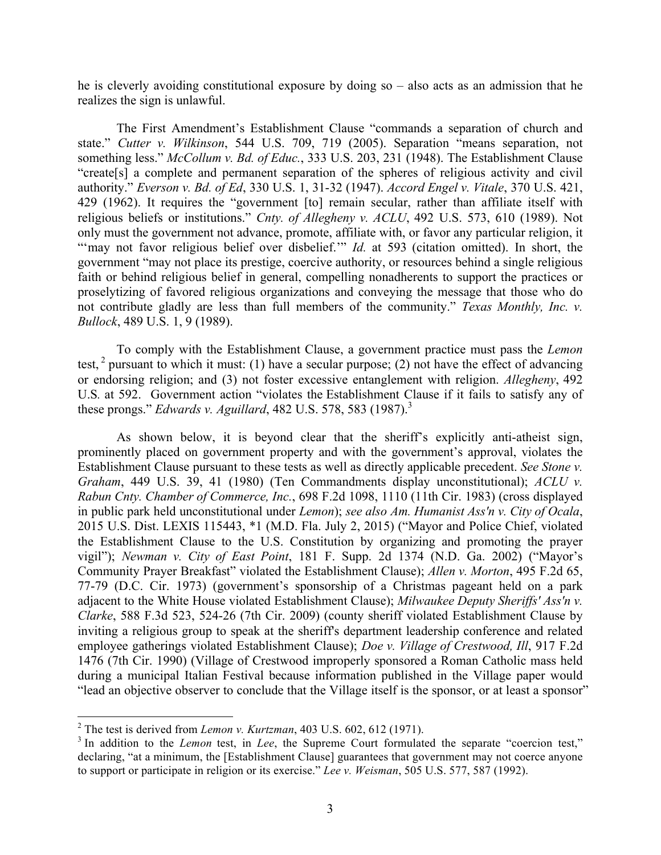he is cleverly avoiding constitutional exposure by doing so – also acts as an admission that he realizes the sign is unlawful.

The First Amendment's Establishment Clause "commands a separation of church and state." *Cutter v. Wilkinson*, 544 U.S. 709, 719 (2005). Separation "means separation, not something less." *McCollum v. Bd. of Educ.*, 333 U.S. 203, 231 (1948). The Establishment Clause "create[s] a complete and permanent separation of the spheres of religious activity and civil authority." *Everson v. Bd. of Ed*, 330 U.S. 1, 31-32 (1947). *Accord Engel v. Vitale*, 370 U.S. 421, 429 (1962). It requires the "government [to] remain secular, rather than affiliate itself with religious beliefs or institutions." *Cnty. of Allegheny v. ACLU*, 492 U.S. 573, 610 (1989). Not only must the government not advance, promote, affiliate with, or favor any particular religion, it "'may not favor religious belief over disbelief." *Id.* at 593 (citation omitted). In short, the government "may not place its prestige, coercive authority, or resources behind a single religious faith or behind religious belief in general, compelling nonadherents to support the practices or proselytizing of favored religious organizations and conveying the message that those who do not contribute gladly are less than full members of the community." *Texas Monthly, Inc. v. Bullock*, 489 U.S. 1, 9 (1989).

To comply with the Establishment Clause, a government practice must pass the *Lemon*  test,  $\frac{2}{3}$  pursuant to which it must: (1) have a secular purpose; (2) not have the effect of advancing or endorsing religion; and (3) not foster excessive entanglement with religion. *Allegheny*, 492 U.S*.* at 592. Government action "violates the Establishment Clause if it fails to satisfy any of these prongs." *Edwards v. Aguillard*, 482 U.S. 578, 583 (1987).<sup>3</sup>

As shown below, it is beyond clear that the sheriff's explicitly anti-atheist sign, prominently placed on government property and with the government's approval, violates the Establishment Clause pursuant to these tests as well as directly applicable precedent. *See Stone v. Graham*, 449 U.S. 39, 41 (1980) (Ten Commandments display unconstitutional); *ACLU v. Rabun Cnty. Chamber of Commerce, Inc.*, 698 F.2d 1098, 1110 (11th Cir. 1983) (cross displayed in public park held unconstitutional under *Lemon*); *see also Am. Humanist Ass'n v. City of Ocala*, 2015 U.S. Dist. LEXIS 115443, \*1 (M.D. Fla. July 2, 2015) ("Mayor and Police Chief, violated the Establishment Clause to the U.S. Constitution by organizing and promoting the prayer vigil"); *Newman v. City of East Point*, 181 F. Supp. 2d 1374 (N.D. Ga. 2002) ("Mayor's Community Prayer Breakfast" violated the Establishment Clause); *Allen v. Morton*, 495 F.2d 65, 77-79 (D.C. Cir. 1973) (government's sponsorship of a Christmas pageant held on a park adjacent to the White House violated Establishment Clause); *Milwaukee Deputy Sheriffs' Ass'n v. Clarke*, 588 F.3d 523, 524-26 (7th Cir. 2009) (county sheriff violated Establishment Clause by inviting a religious group to speak at the sheriff's department leadership conference and related employee gatherings violated Establishment Clause); *Doe v. Village of Crestwood, Ill*, 917 F.2d 1476 (7th Cir. 1990) (Village of Crestwood improperly sponsored a Roman Catholic mass held during a municipal Italian Festival because information published in the Village paper would "lead an objective observer to conclude that the Village itself is the sponsor, or at least a sponsor"

 <sup>2</sup> The test is derived from *Lemon v. Kurtzman*, 403 U.S. 602, 612 (1971).

<sup>&</sup>lt;sup>3</sup> In addition to the *Lemon* test, in *Lee*, the Supreme Court formulated the separate "coercion test," declaring, "at a minimum, the [Establishment Clause] guarantees that government may not coerce anyone to support or participate in religion or its exercise." *Lee v. Weisman*, 505 U.S. 577, 587 (1992).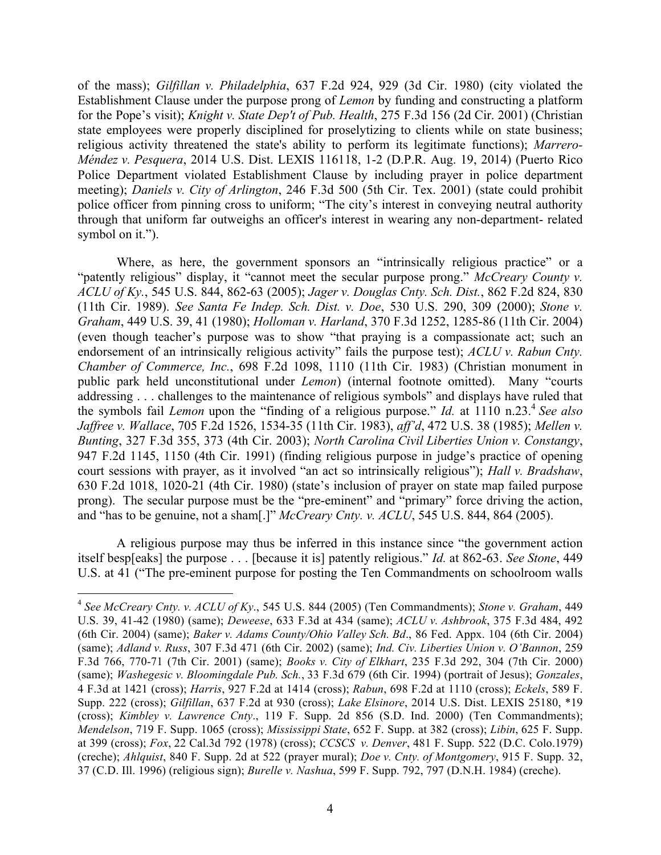of the mass); *Gilfillan v. Philadelphia*, 637 F.2d 924, 929 (3d Cir. 1980) (city violated the Establishment Clause under the purpose prong of *Lemon* by funding and constructing a platform for the Pope's visit); *Knight v. State Dep't of Pub. Health*, 275 F.3d 156 (2d Cir. 2001) (Christian state employees were properly disciplined for proselytizing to clients while on state business; religious activity threatened the state's ability to perform its legitimate functions); *Marrero-Méndez v. Pesquera*, 2014 U.S. Dist. LEXIS 116118, 1-2 (D.P.R. Aug. 19, 2014) (Puerto Rico Police Department violated Establishment Clause by including prayer in police department meeting); *Daniels v. City of Arlington*, 246 F.3d 500 (5th Cir. Tex. 2001) (state could prohibit police officer from pinning cross to uniform; "The city's interest in conveying neutral authority through that uniform far outweighs an officer's interest in wearing any non-department- related symbol on it.").

Where, as here, the government sponsors an "intrinsically religious practice" or a "patently religious" display, it "cannot meet the secular purpose prong." *McCreary County v. ACLU of Ky.*, 545 U.S. 844, 862-63 (2005); *Jager v. Douglas Cnty. Sch. Dist.*, 862 F.2d 824, 830 (11th Cir. 1989). *See Santa Fe Indep. Sch. Dist. v. Doe*, 530 U.S. 290, 309 (2000); *Stone v. Graham*, 449 U.S. 39, 41 (1980); *Holloman v. Harland*, 370 F.3d 1252, 1285-86 (11th Cir. 2004) (even though teacher's purpose was to show "that praying is a compassionate act; such an endorsement of an intrinsically religious activity" fails the purpose test); *ACLU v. Rabun Cnty. Chamber of Commerce, Inc.*, 698 F.2d 1098, 1110 (11th Cir. 1983) (Christian monument in public park held unconstitutional under *Lemon*) (internal footnote omitted). Many "courts addressing . . . challenges to the maintenance of religious symbols" and displays have ruled that the symbols fail *Lemon* upon the "finding of a religious purpose." *Id.* at 1110 n.23. <sup>4</sup> *See also Jaffree v. Wallace*, 705 F.2d 1526, 1534-35 (11th Cir. 1983), *aff'd*, 472 U.S. 38 (1985); *Mellen v. Bunting*, 327 F.3d 355, 373 (4th Cir. 2003); *North Carolina Civil Liberties Union v. Constangy*, 947 F.2d 1145, 1150 (4th Cir. 1991) (finding religious purpose in judge's practice of opening court sessions with prayer, as it involved "an act so intrinsically religious"); *Hall v. Bradshaw*, 630 F.2d 1018, 1020-21 (4th Cir. 1980) (state's inclusion of prayer on state map failed purpose prong). The secular purpose must be the "pre-eminent" and "primary" force driving the action, and "has to be genuine, not a sham[.]" *McCreary Cnty. v. ACLU*, 545 U.S. 844, 864 (2005).

A religious purpose may thus be inferred in this instance since "the government action itself besp[eaks] the purpose . . . [because it is] patently religious." *Id.* at 862-63. *See Stone*, 449 U.S. at 41 ("The pre-eminent purpose for posting the Ten Commandments on schoolroom walls

 <sup>4</sup> *See McCreary Cnty. v. ACLU of Ky*., 545 U.S. 844 (2005) (Ten Commandments); *Stone v. Graham*, 449 U.S. 39, 41-42 (1980) (same); *Deweese*, 633 F.3d at 434 (same); *ACLU v. Ashbrook*, 375 F.3d 484, 492 (6th Cir. 2004) (same); *Baker v. Adams County/Ohio Valley Sch. Bd*., 86 Fed. Appx. 104 (6th Cir. 2004) (same); *Adland v. Russ*, 307 F.3d 471 (6th Cir. 2002) (same); *Ind. Civ. Liberties Union v. O'Bannon*, 259 F.3d 766, 770-71 (7th Cir. 2001) (same); *Books v. City of Elkhart*, 235 F.3d 292, 304 (7th Cir. 2000) (same); *Washegesic v. Bloomingdale Pub. Sch.*, 33 F.3d 679 (6th Cir. 1994) (portrait of Jesus); *Gonzales*, 4 F.3d at 1421 (cross); *Harris*, 927 F.2d at 1414 (cross); *Rabun*, 698 F.2d at 1110 (cross); *Eckels*, 589 F. Supp. 222 (cross); *Gilfillan*, 637 F.2d at 930 (cross); *Lake Elsinore*, 2014 U.S. Dist. LEXIS 25180, \*19 (cross); *Kimbley v. Lawrence Cnty*., 119 F. Supp. 2d 856 (S.D. Ind. 2000) (Ten Commandments); *Mendelson*, 719 F. Supp. 1065 (cross); *Mississippi State*, 652 F. Supp. at 382 (cross); *Libin*, 625 F. Supp. at 399 (cross); *Fox*, 22 Cal.3d 792 (1978) (cross); *CCSCS v. Denver*, 481 F. Supp. 522 (D.C. Colo.1979) (creche); *Ahlquist*, 840 F. Supp. 2d at 522 (prayer mural); *Doe v. Cnty. of Montgomery*, 915 F. Supp. 32, 37 (C.D. Ill. 1996) (religious sign); *Burelle v. Nashua*, 599 F. Supp. 792, 797 (D.N.H. 1984) (creche).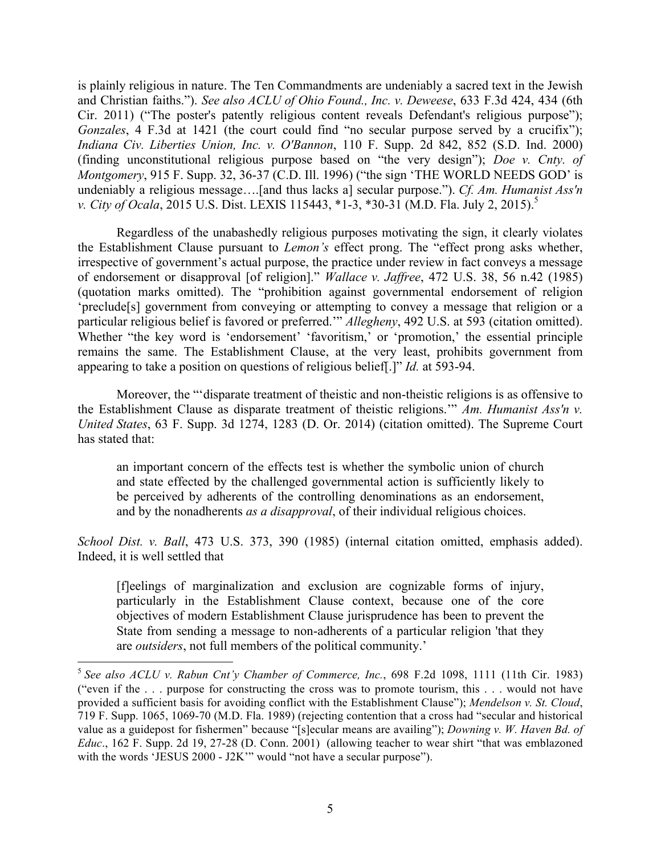is plainly religious in nature. The Ten Commandments are undeniably a sacred text in the Jewish and Christian faiths."). *See also ACLU of Ohio Found., Inc. v. Deweese*, 633 F.3d 424, 434 (6th Cir. 2011) ("The poster's patently religious content reveals Defendant's religious purpose"); *Gonzales*, 4 F.3d at 1421 (the court could find "no secular purpose served by a crucifix"); *Indiana Civ. Liberties Union, Inc. v. O'Bannon*, 110 F. Supp. 2d 842, 852 (S.D. Ind. 2000) (finding unconstitutional religious purpose based on "the very design"); *Doe v. Cnty. of Montgomery*, 915 F. Supp. 32, 36-37 (C.D. Ill. 1996) ("the sign 'THE WORLD NEEDS GOD' is undeniably a religious message….[and thus lacks a] secular purpose."). *Cf. Am. Humanist Ass'n v. City of Ocala*, 2015 U.S. Dist. LEXIS 115443, \*1-3, \*30-31 (M.D. Fla. July 2, 2015).<sup>5</sup>

Regardless of the unabashedly religious purposes motivating the sign, it clearly violates the Establishment Clause pursuant to *Lemon's* effect prong. The "effect prong asks whether, irrespective of government's actual purpose, the practice under review in fact conveys a message of endorsement or disapproval [of religion]." *Wallace v. Jaffree*, 472 U.S. 38, 56 n.42 (1985) (quotation marks omitted). The "prohibition against governmental endorsement of religion 'preclude[s] government from conveying or attempting to convey a message that religion or a particular religious belief is favored or preferred.'" *Allegheny*, 492 U.S. at 593 (citation omitted). Whether "the key word is 'endorsement' 'favoritism,' or 'promotion,' the essential principle remains the same. The Establishment Clause, at the very least, prohibits government from appearing to take a position on questions of religious belief[.]" *Id.* at 593-94.

Moreover, the "'disparate treatment of theistic and non-theistic religions is as offensive to the Establishment Clause as disparate treatment of theistic religions.'" *Am. Humanist Ass'n v. United States*, 63 F. Supp. 3d 1274, 1283 (D. Or. 2014) (citation omitted). The Supreme Court has stated that:

an important concern of the effects test is whether the symbolic union of church and state effected by the challenged governmental action is sufficiently likely to be perceived by adherents of the controlling denominations as an endorsement, and by the nonadherents *as a disapproval*, of their individual religious choices.

*School Dist. v. Ball*, 473 U.S. 373, 390 (1985) (internal citation omitted, emphasis added). Indeed, it is well settled that

[f]eelings of marginalization and exclusion are cognizable forms of injury, particularly in the Establishment Clause context, because one of the core objectives of modern Establishment Clause jurisprudence has been to prevent the State from sending a message to non-adherents of a particular religion 'that they are *outsiders*, not full members of the political community.'

 <sup>5</sup> *See also ACLU v. Rabun Cnt'y Chamber of Commerce, Inc.*, 698 F.2d 1098, 1111 (11th Cir. 1983) ("even if the . . . purpose for constructing the cross was to promote tourism, this . . . would not have provided a sufficient basis for avoiding conflict with the Establishment Clause"); *Mendelson v. St. Cloud*, 719 F. Supp. 1065, 1069-70 (M.D. Fla. 1989) (rejecting contention that a cross had "secular and historical value as a guidepost for fishermen" because "[s]ecular means are availing"); *Downing v. W. Haven Bd. of Educ*., 162 F. Supp. 2d 19, 27-28 (D. Conn. 2001) (allowing teacher to wear shirt "that was emblazoned with the words 'JESUS 2000 - J2K'" would "not have a secular purpose").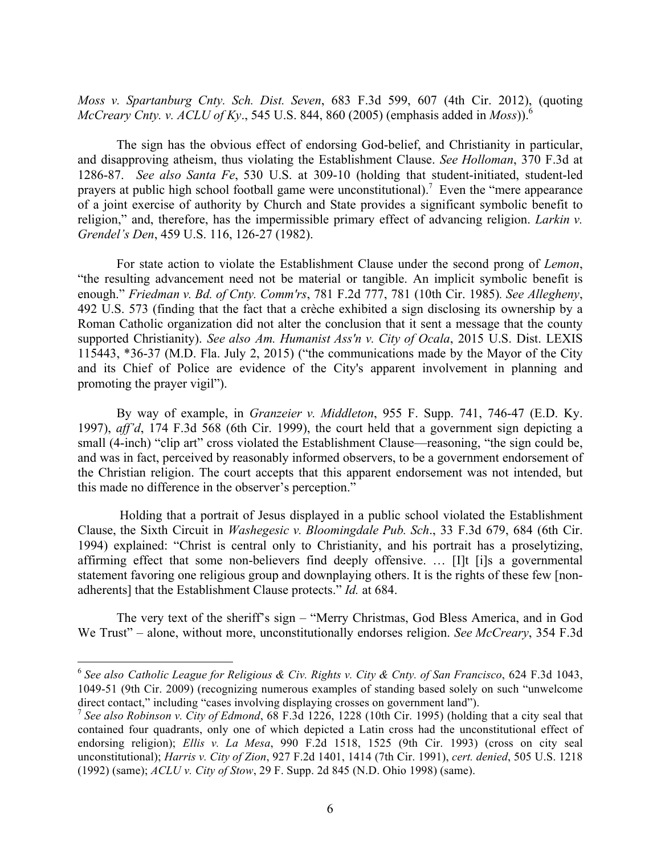*Moss v. Spartanburg Cnty. Sch. Dist. Seven*, 683 F.3d 599, 607 (4th Cir. 2012), (quoting *McCreary Cnty. v. ACLU of Ky*., 545 U.S. 844, 860 (2005) (emphasis added in *Moss*)).6

The sign has the obvious effect of endorsing God-belief, and Christianity in particular, and disapproving atheism, thus violating the Establishment Clause. *See Holloman*, 370 F.3d at 1286-87. *See also Santa Fe*, 530 U.S. at 309-10 (holding that student-initiated, student-led prayers at public high school football game were unconstitutional).<sup>7</sup> Even the "mere appearance" of a joint exercise of authority by Church and State provides a significant symbolic benefit to religion," and, therefore, has the impermissible primary effect of advancing religion. *Larkin v. Grendel's Den*, 459 U.S. 116, 126-27 (1982).

For state action to violate the Establishment Clause under the second prong of *Lemon*, "the resulting advancement need not be material or tangible. An implicit symbolic benefit is enough." *Friedman v. Bd. of Cnty. Comm'rs*, 781 F.2d 777, 781 (10th Cir. 1985)*. See Allegheny*, 492 U.S. 573 (finding that the fact that a crèche exhibited a sign disclosing its ownership by a Roman Catholic organization did not alter the conclusion that it sent a message that the county supported Christianity). *See also Am. Humanist Ass'n v. City of Ocala*, 2015 U.S. Dist. LEXIS 115443, \*36-37 (M.D. Fla. July 2, 2015) ("the communications made by the Mayor of the City and its Chief of Police are evidence of the City's apparent involvement in planning and promoting the prayer vigil").

By way of example, in *Granzeier v. Middleton*, 955 F. Supp. 741, 746-47 (E.D. Ky. 1997), *aff'd*, 174 F.3d 568 (6th Cir. 1999), the court held that a government sign depicting a small (4-inch) "clip art" cross violated the Establishment Clause—reasoning, "the sign could be, and was in fact, perceived by reasonably informed observers, to be a government endorsement of the Christian religion. The court accepts that this apparent endorsement was not intended, but this made no difference in the observer's perception."

Holding that a portrait of Jesus displayed in a public school violated the Establishment Clause, the Sixth Circuit in *Washegesic v. Bloomingdale Pub. Sch*., 33 F.3d 679, 684 (6th Cir. 1994) explained: "Christ is central only to Christianity, and his portrait has a proselytizing, affirming effect that some non-believers find deeply offensive. … [I]t [i]s a governmental statement favoring one religious group and downplaying others. It is the rights of these few [nonadherents] that the Establishment Clause protects." *Id.* at 684.

The very text of the sheriff's sign – "Merry Christmas, God Bless America, and in God We Trust" – alone, without more, unconstitutionally endorses religion. *See McCreary*, 354 F.3d

 <sup>6</sup> *See also Catholic League for Religious & Civ. Rights v. City & Cnty. of San Francisco*, 624 F.3d 1043, 1049-51 (9th Cir. 2009) (recognizing numerous examples of standing based solely on such "unwelcome direct contact," including "cases involving displaying crosses on government land").

<sup>7</sup> *See also Robinson v. City of Edmond*, 68 F.3d 1226, 1228 (10th Cir. 1995) (holding that a city seal that contained four quadrants, only one of which depicted a Latin cross had the unconstitutional effect of endorsing religion); *Ellis v. La Mesa*, 990 F.2d 1518, 1525 (9th Cir. 1993) (cross on city seal unconstitutional); *Harris v. City of Zion*, 927 F.2d 1401, 1414 (7th Cir. 1991), *cert. denied*, 505 U.S. 1218 (1992) (same); *ACLU v. City of Stow*, 29 F. Supp. 2d 845 (N.D. Ohio 1998) (same).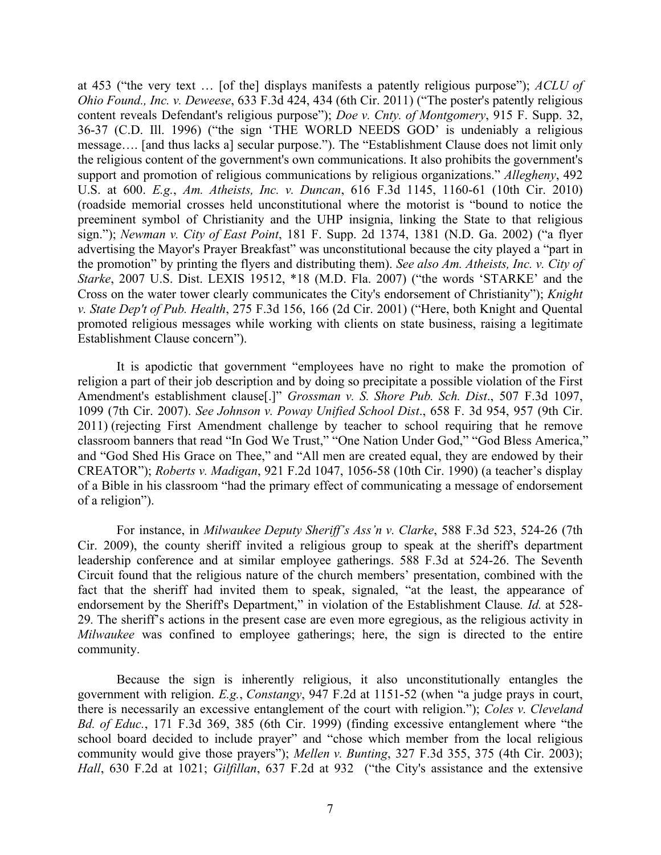at 453 ("the very text … [of the] displays manifests a patently religious purpose"); *ACLU of Ohio Found., Inc. v. Deweese*, 633 F.3d 424, 434 (6th Cir. 2011) ("The poster's patently religious content reveals Defendant's religious purpose"); *Doe v. Cnty. of Montgomery*, 915 F. Supp. 32, 36-37 (C.D. Ill. 1996) ("the sign 'THE WORLD NEEDS GOD' is undeniably a religious message…. [and thus lacks a] secular purpose."). The "Establishment Clause does not limit only the religious content of the government's own communications. It also prohibits the government's support and promotion of religious communications by religious organizations." *Allegheny*, 492 U.S. at 600. *E.g.*, *Am. Atheists, Inc. v. Duncan*, 616 F.3d 1145, 1160-61 (10th Cir. 2010) (roadside memorial crosses held unconstitutional where the motorist is "bound to notice the preeminent symbol of Christianity and the UHP insignia, linking the State to that religious sign."); *Newman v. City of East Point*, 181 F. Supp. 2d 1374, 1381 (N.D. Ga. 2002) ("a flyer advertising the Mayor's Prayer Breakfast" was unconstitutional because the city played a "part in the promotion" by printing the flyers and distributing them). *See also Am. Atheists, Inc. v. City of Starke*, 2007 U.S. Dist. LEXIS 19512, \*18 (M.D. Fla. 2007) ("the words 'STARKE' and the Cross on the water tower clearly communicates the City's endorsement of Christianity"); *Knight v. State Dep't of Pub. Health*, 275 F.3d 156, 166 (2d Cir. 2001) ("Here, both Knight and Quental promoted religious messages while working with clients on state business, raising a legitimate Establishment Clause concern").

It is apodictic that government "employees have no right to make the promotion of religion a part of their job description and by doing so precipitate a possible violation of the First Amendment's establishment clause[.]" *Grossman v. S. Shore Pub. Sch. Dist*., 507 F.3d 1097, 1099 (7th Cir. 2007). *See Johnson v. Poway Unified School Dist*., 658 F. 3d 954, 957 (9th Cir. 2011) (rejecting First Amendment challenge by teacher to school requiring that he remove classroom banners that read "In God We Trust," "One Nation Under God," "God Bless America," and "God Shed His Grace on Thee," and "All men are created equal, they are endowed by their CREATOR"); *Roberts v. Madigan*, 921 F.2d 1047, 1056-58 (10th Cir. 1990) (a teacher's display of a Bible in his classroom "had the primary effect of communicating a message of endorsement of a religion").

For instance, in *Milwaukee Deputy Sheriff's Ass'n v. Clarke*, 588 F.3d 523, 524-26 (7th Cir. 2009), the county sheriff invited a religious group to speak at the sheriff's department leadership conference and at similar employee gatherings. 588 F.3d at 524-26. The Seventh Circuit found that the religious nature of the church members' presentation, combined with the fact that the sheriff had invited them to speak, signaled, "at the least, the appearance of endorsement by the Sheriff's Department," in violation of the Establishment Clause. *Id.* at 528-29*.* The sheriff's actions in the present case are even more egregious, as the religious activity in *Milwaukee* was confined to employee gatherings; here, the sign is directed to the entire community.

Because the sign is inherently religious, it also unconstitutionally entangles the government with religion. *E.g.*, *Constangy*, 947 F.2d at 1151-52 (when "a judge prays in court, there is necessarily an excessive entanglement of the court with religion."); *Coles v. Cleveland Bd. of Educ.*, 171 F.3d 369, 385 (6th Cir. 1999) (finding excessive entanglement where "the school board decided to include prayer" and "chose which member from the local religious community would give those prayers"); *Mellen v. Bunting*, 327 F.3d 355, 375 (4th Cir. 2003); *Hall*, 630 F.2d at 1021; *Gilfillan*, 637 F.2d at 932 ("the City's assistance and the extensive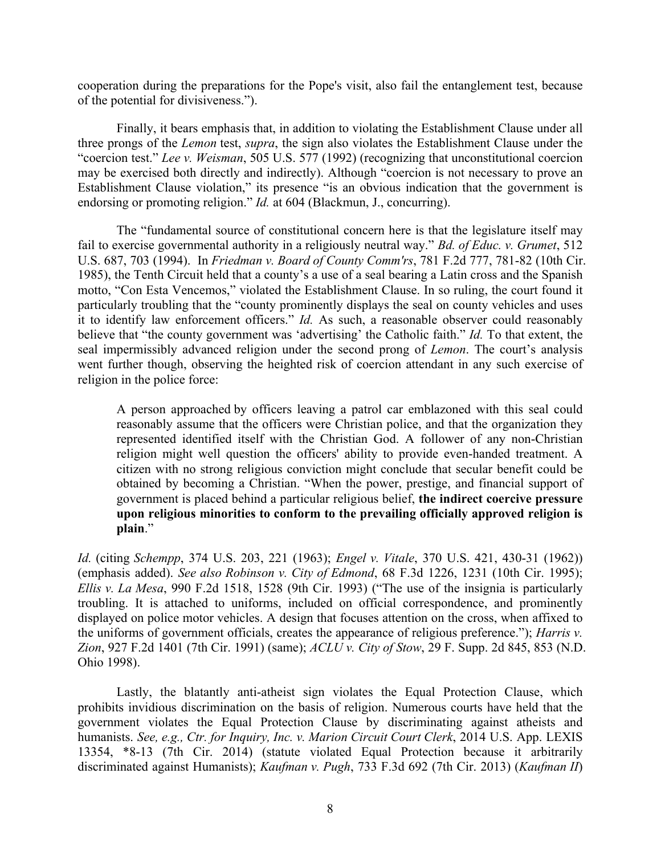cooperation during the preparations for the Pope's visit, also fail the entanglement test, because of the potential for divisiveness.").

Finally, it bears emphasis that, in addition to violating the Establishment Clause under all three prongs of the *Lemon* test, *supra*, the sign also violates the Establishment Clause under the "coercion test." *Lee v. Weisman*, 505 U.S. 577 (1992) (recognizing that unconstitutional coercion may be exercised both directly and indirectly). Although "coercion is not necessary to prove an Establishment Clause violation," its presence "is an obvious indication that the government is endorsing or promoting religion." *Id.* at 604 (Blackmun, J., concurring).

The "fundamental source of constitutional concern here is that the legislature itself may fail to exercise governmental authority in a religiously neutral way." *Bd. of Educ. v. Grumet*, 512 U.S. 687, 703 (1994). In *Friedman v. Board of County Comm'rs*, 781 F.2d 777, 781-82 (10th Cir. 1985), the Tenth Circuit held that a county's a use of a seal bearing a Latin cross and the Spanish motto, "Con Esta Vencemos," violated the Establishment Clause. In so ruling, the court found it particularly troubling that the "county prominently displays the seal on county vehicles and uses it to identify law enforcement officers." *Id.* As such, a reasonable observer could reasonably believe that "the county government was 'advertising' the Catholic faith." *Id.* To that extent, the seal impermissibly advanced religion under the second prong of *Lemon*. The court's analysis went further though, observing the heighted risk of coercion attendant in any such exercise of religion in the police force:

A person approached by officers leaving a patrol car emblazoned with this seal could reasonably assume that the officers were Christian police, and that the organization they represented identified itself with the Christian God. A follower of any non-Christian religion might well question the officers' ability to provide even-handed treatment. A citizen with no strong religious conviction might conclude that secular benefit could be obtained by becoming a Christian. "When the power, prestige, and financial support of government is placed behind a particular religious belief, **the indirect coercive pressure upon religious minorities to conform to the prevailing officially approved religion is plain**."

*Id.* (citing *Schempp*, 374 U.S. 203, 221 (1963); *Engel v. Vitale*, 370 U.S. 421, 430-31 (1962)) (emphasis added). *See also Robinson v. City of Edmond*, 68 F.3d 1226, 1231 (10th Cir. 1995); *Ellis v. La Mesa*, 990 F.2d 1518, 1528 (9th Cir. 1993) ("The use of the insignia is particularly troubling. It is attached to uniforms, included on official correspondence, and prominently displayed on police motor vehicles. A design that focuses attention on the cross, when affixed to the uniforms of government officials, creates the appearance of religious preference."); *Harris v. Zion*, 927 F.2d 1401 (7th Cir. 1991) (same); *ACLU v. City of Stow*, 29 F. Supp. 2d 845, 853 (N.D. Ohio 1998).

Lastly, the blatantly anti-atheist sign violates the Equal Protection Clause, which prohibits invidious discrimination on the basis of religion. Numerous courts have held that the government violates the Equal Protection Clause by discriminating against atheists and humanists. *See, e.g., Ctr. for Inquiry, Inc. v. Marion Circuit Court Clerk*, 2014 U.S. App. LEXIS 13354, \*8-13 (7th Cir. 2014) (statute violated Equal Protection because it arbitrarily discriminated against Humanists); *Kaufman v. Pugh*, 733 F.3d 692 (7th Cir. 2013) (*Kaufman II*)